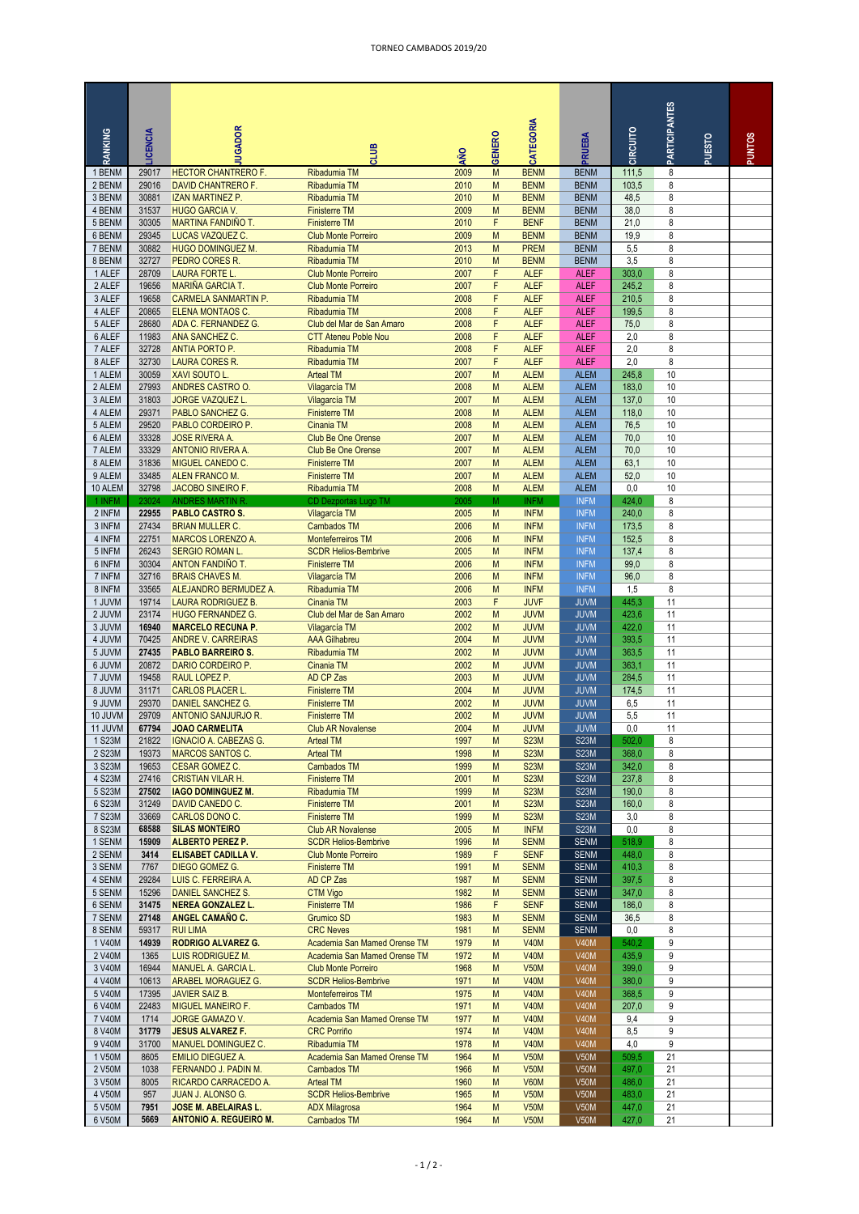## TORNEO CAMBADOS 2019/20

|                  |                |                                                   |                                                           |              |               |                            |                            |                | <b>PARTICIPANTES</b> |        |               |
|------------------|----------------|---------------------------------------------------|-----------------------------------------------------------|--------------|---------------|----------------------------|----------------------------|----------------|----------------------|--------|---------------|
| RANKING          | <b>ICENCIA</b> | UGADOR                                            | amt                                                       | οŅ           | <b>GENERO</b> | <b>ATEGORIA</b>            | <b>RUEBA</b>               | CIRCUITO       |                      | PUESTO | <b>PUNTOS</b> |
| 1 BENM           | 29017          | <b>HECTOR CHANTRERO F.</b>                        | <b>Ribadumia TM</b>                                       | 2009         | M             | <b>BENM</b>                | <b>BENM</b>                | 111,5          | 8                    |        |               |
| 2 BENM           | 29016          | DAVID CHANTRERO F.                                | Ribadumia TM                                              | 2010         | M             | <b>BENM</b>                | <b>BENM</b>                | 103,5          | 8                    |        |               |
| 3 BENM           | 30881          | <b>IZAN MARTINEZ P.</b>                           | Ribadumia TM                                              | 2010         | M             | <b>BENM</b>                | <b>BENM</b>                | 48,5           | 8                    |        |               |
| 4 BENM           | 31537          | <b>HUGO GARCIA V.</b>                             | <b>Finisterre TM</b>                                      | 2009         | M             | <b>BENM</b>                | <b>BENM</b>                | 38,0           | 8                    |        |               |
| 5 BENM<br>6 BENM | 30305<br>29345 | MARTINA FANDIÑO T.                                | <b>Finisterre TM</b><br><b>Club Monte Porreiro</b>        | 2010<br>2009 | F<br>M        | <b>BENF</b><br><b>BENM</b> | <b>BENM</b><br><b>BENM</b> | 21,0<br>19,9   | 8<br>8               |        |               |
| 7 BENM           | 30882          | LUCAS VAZQUEZ C.<br><b>HUGO DOMINGUEZ M.</b>      | Ribadumia TM                                              | 2013         | M             | <b>PREM</b>                | <b>BENM</b>                | 5,5            | 8                    |        |               |
| 8 BENM           | 32727          | PEDRO CORES R.                                    | Ribadumia TM                                              | 2010         | M             | <b>BENM</b>                | <b>BENM</b>                | 3,5            | 8                    |        |               |
| 1 ALEF           | 28709          | <b>LAURA FORTE L.</b>                             | <b>Club Monte Porreiro</b>                                | 2007         | F             | <b>ALEF</b>                | <b>ALEF</b>                | 303,0          | 8                    |        |               |
| 2 ALEF           | 19656          | <b>MARIÑA GARCIA T.</b>                           | <b>Club Monte Porreiro</b>                                | 2007         | F             | <b>ALEF</b>                | <b>ALEF</b>                | 245,2          | 8                    |        |               |
| 3 ALEF           | 19658          | <b>CARMELA SANMARTIN P.</b>                       | Ribadumia TM                                              | 2008         | F             | <b>ALEF</b>                | <b>ALEF</b>                | 210,5          | 8                    |        |               |
| 4 ALEF           | 20865          | ELENA MONTAOS C.                                  | Ribadumia TM                                              | 2008         | F.            | <b>ALEF</b>                | <b>ALEF</b>                | 199,5          | 8                    |        |               |
| 5 ALEF<br>6 ALEF | 28680<br>11983 | ADA C. FERNANDEZ G.<br>ANA SANCHEZ C.             | Club del Mar de San Amaro<br><b>CTT Ateneu Poble Nou</b>  | 2008<br>2008 | F<br>F        | <b>ALEF</b><br><b>ALEF</b> | <b>ALEF</b><br><b>ALEF</b> | 75,0<br>2,0    | 8<br>8               |        |               |
| 7 ALEF           | 32728          | ANTIA PORTO P.                                    | Ribadumia TM                                              | 2008         | F             | <b>ALEF</b>                | <b>ALEF</b>                | 2,0            | 8                    |        |               |
| 8 ALEF           | 32730          | <b>LAURA CORES R.</b>                             | Ribadumia TM                                              | 2007         | F             | <b>ALEF</b>                | <b>ALEF</b>                | 2,0            | 8                    |        |               |
| 1 ALEM           | 30059          | XAVI SOUTO L.                                     | <b>Arteal TM</b>                                          | 2007         | M             | <b>ALEM</b>                | <b>ALEM</b>                | 245,8          | 10                   |        |               |
| 2 ALEM           | 27993          | ANDRES CASTRO O.                                  | Vilagarcía TM                                             | 2008         | M             | <b>ALEM</b>                | <b>ALEM</b>                | 183,0          | 10                   |        |               |
| 3 ALEM           | 31803          | <b>JORGE VAZQUEZ L.</b>                           | Vilagarcía TM                                             | 2007         | M             | <b>ALEM</b>                | <b>ALEM</b>                | 137,0          | 10                   |        |               |
| 4 ALEM           | 29371          | PABLO SANCHEZ G.                                  | <b>Finisterre TM</b>                                      | 2008         | M             | <b>ALEM</b>                | <b>ALEM</b>                | 118,0          | 10                   |        |               |
| 5 ALEM           | 29520          | PABLO CORDEIRO P.                                 | Cinania TM                                                | 2008         | M             | <b>ALEM</b>                | <b>ALEM</b>                | 76,5           | 10                   |        |               |
| 6 ALEM<br>7 ALEM | 33328<br>33329 | <b>JOSE RIVERA A</b><br>ANTONIO RIVERA A.         | <b>Club Be One Orense</b><br><b>Club Be One Orense</b>    | 2007<br>2007 | M<br>M        | <b>ALEM</b><br><b>ALEM</b> | <b>ALEM</b><br><b>ALEM</b> | 70,0<br>70,0   | 10<br>10             |        |               |
| 8 ALEM           | 31836          | <b>MIGUEL CANEDO C.</b>                           | <b>Finisterre TM</b>                                      | 2007         | M             | <b>ALEM</b>                | <b>ALEM</b>                | 63,1           | 10                   |        |               |
| 9 ALEM           | 33485          | ALEN FRANCO M.                                    | <b>Finisterre TM</b>                                      | 2007         | M             | <b>ALEM</b>                | <b>ALEM</b>                | 52,0           | 10                   |        |               |
| 10 ALEM          | 32798          | JACOBO SINEIRO F.                                 | Ribadumia TM                                              | 2008         | M             | <b>ALEM</b>                | <b>ALEM</b>                | 0,0            | 10                   |        |               |
| 1 INFM           | 23024          | <b>ANDRES MARTIN R.</b>                           | <b>CD Dezportas Lugo TM</b>                               | 2005         | M             | <b>INFM</b>                | <b>INFM</b>                | 424,0          | 8                    |        |               |
| 2 INFM           | 22955          | <b>PABLO CASTRO S.</b>                            | Vilagarcía TM                                             | 2005         | M             | <b>INFM</b>                | <b>INFM</b>                | 240,0          | 8                    |        |               |
| 3 INFM           | 27434          | <b>BRIAN MULLER C.</b>                            | <b>Cambados TM</b>                                        | 2006         | M             | <b>INFM</b>                | <b>INFM</b>                | 173,5          | 8                    |        |               |
| 4 INFM           | 22751          | MARCOS LORENZO A.                                 | Monteferreiros TM                                         | 2006         | M             | <b>INFM</b>                | <b>INFM</b>                | 152,5          | 8                    |        |               |
| 5 INFM<br>6 INFM | 26243<br>30304 | <b>SERGIO ROMAN L</b><br>ANTON FANDIÑO T.         | <b>SCDR Helios-Bembrive</b><br><b>Finisterre TM</b>       | 2005<br>2006 | M<br>M        | <b>INFM</b><br><b>INFM</b> | <b>INFM</b><br><b>INFM</b> | 137,4<br>99,0  | 8<br>8               |        |               |
| 7 INFM           | 32716          | <b>BRAIS CHAVES M.</b>                            | Vilagarcía TM                                             | 2006         | M             | <b>INFM</b>                | <b>INFM</b>                | 96,0           | 8                    |        |               |
| 8 INFM           | 33565          | ALEJANDRO BERMUDEZ A.                             | Ribadumia TM                                              | 2006         | M             | <b>INFM</b>                | <b>INFM</b>                | 1,5            | 8                    |        |               |
| 1 JUVM           | 19714          | <b>LAURA RODRIGUEZ B</b>                          | Cinania TM                                                | 2003         | F             | <b>JUVF</b>                | <b>JUVM</b>                | 445,3          | 11                   |        |               |
| 2 JUVM           | 23174          | <b>HUGO FERNANDEZ G.</b>                          | Club del Mar de San Amaro                                 | 2002         | M             | <b>JUVM</b>                | <b>JUVM</b>                | 423,6          | 11                   |        |               |
| 3 JUVM           | 16940          | <b>MARCELO RECUNA P.</b>                          | Vilagarcía TM                                             | 2002         | M             | <b>JUVM</b>                | <b>JUVM</b>                | 422,0          | 11                   |        |               |
| 4 JUVM           | 70425          | <b>ANDRE V. CARREIRAS</b>                         | <b>AAA Gilhabreu</b>                                      | 2004         | M             | <b>JUVM</b>                | <b>JUVM</b>                | 393,5          | 11                   |        |               |
| 5 JUVM<br>6 JUVM | 27435<br>20872 | <b>PABLO BARREIRO S.</b><br>DARIO CORDEIRO P.     | Ribadumia TM<br>Cinania TM                                | 2002<br>2002 | M<br>M        | <b>JUVM</b><br><b>JUVM</b> | <b>JUVM</b><br><b>JUVM</b> | 363,5<br>363,1 | 11<br>11             |        |               |
| 7 JUVM           | 19458          | RAUL LOPEZ P.                                     | AD CP Zas                                                 | 2003         | M             | <b>JUVM</b>                | <b>JUVM</b>                | 284,5          | 11                   |        |               |
| 8 JUVM           | 31171          | <b>CARLOS PLACER L.</b>                           | <b>Finisterre TM</b>                                      | 2004         | M             | <b>JUVM</b>                | <b>JUVM</b>                | 174,5          | 11                   |        |               |
| 9 JUVM           | 29370          | <b>DANIEL SANCHEZ G</b>                           | <b>Finisterre TM</b>                                      | 2002         | M             | <b>JUVM</b>                | <b>JUVM</b>                | 6,5            | 11                   |        |               |
| 10 JUVM          | 29709          | ANTONIO SANJURJO R.                               | <b>Finisterre TM</b>                                      | 2002         | M             | <b>JUVM</b>                | <b>JUVM</b>                | 5,5            | 11                   |        |               |
| 11 JUVM          | 67794          | <b>JOAO CARMELITA</b>                             | <b>Club AR Novalense</b>                                  | 2004         | M             | <b>JUVM</b>                | <b>JUVM</b>                | $_{0,0}$       | 11                   |        |               |
| 1 S23M           | 21822          | IGNACIO A. CABEZAS G.                             | <b>Arteal TM</b>                                          | 1997         | M             | <b>S23M</b>                | <b>S23M</b>                | 502,0          | 8                    |        |               |
| 2 S23M           | 19373          | <b>MARCOS SANTOS C.</b>                           | <b>Arteal TM</b>                                          | 1998         | M             | <b>S23M</b>                | <b>S23M</b>                | 368,0          | 8                    |        |               |
| 3 S23M<br>4 S23M | 19653<br>27416 | <b>CESAR GOMEZ C.</b><br><b>CRISTIAN VILAR H.</b> | Cambados TM<br><b>Finisterre TM</b>                       | 1999<br>2001 | M<br>M        | <b>S23M</b><br><b>S23M</b> | <b>S23M</b><br><b>S23M</b> | 342,0<br>237,8 | 8<br>8               |        |               |
| 5 S23M           | 27502          | <b>IAGO DOMINGUEZ M.</b>                          | Ribadumia TM                                              | 1999         | M             | <b>S23M</b>                | <b>S23M</b>                | 190,0          | 8                    |        |               |
| 6 S23M           | 31249          | DAVID CANEDO C.                                   | <b>Finisterre TM</b>                                      | 2001         | M             | <b>S23M</b>                | <b>S23M</b>                | 160,0          | 8                    |        |               |
| 7 S23M           | 33669          | CARLOS DONO C.                                    | <b>Finisterre TM</b>                                      | 1999         | M             | <b>S23M</b>                | <b>S23M</b>                | 3,0            | 8                    |        |               |
| 8 S23M           | 68588          | <b>SILAS MONTEIRO</b>                             | <b>Club AR Novalense</b>                                  | 2005         | M             | <b>INFM</b>                | <b>S23M</b>                | 0,0            | 8                    |        |               |
| 1 SENM           | 15909          | <b>ALBERTO PEREZ P.</b>                           | <b>SCDR Helios-Bembrive</b>                               | 1996         | М             | <b>SENM</b>                | <b>SENM</b>                | 518,9          | 8                    |        |               |
| 2 SENM           | 3414           | <b>ELISABET CADILLA V.</b>                        | <b>Club Monte Porreiro</b>                                | 1989         | F             | <b>SENF</b>                | <b>SENM</b>                | 448,0          | 8                    |        |               |
| 3 SENM<br>4 SENM | 7767<br>29284  | DIEGO GOMEZ G.<br>LUIS C. FERREIRA A.             | <b>Finisterre TM</b><br>AD CP Zas                         | 1991<br>1987 | M<br>M        | <b>SENM</b><br><b>SENM</b> | <b>SENM</b><br><b>SENM</b> | 410,3<br>397,5 | 8<br>8               |        |               |
| 5 SENM           | 15296          | DANIEL SANCHEZ S.                                 | <b>CTM Vigo</b>                                           | 1982         | M             | <b>SENM</b>                | <b>SENM</b>                | 347,0          | 8                    |        |               |
| 6 SENM           | 31475          | <b>NEREA GONZALEZ L.</b>                          | <b>Finisterre TM</b>                                      | 1986         | F             | <b>SENF</b>                | <b>SENM</b>                | 186,0          | 8                    |        |               |
| 7 SENM           | 27148          | ANGEL CAMAÑO C.                                   | Grumico SD                                                | 1983         | M             | <b>SENM</b>                | <b>SENM</b>                | 36,5           | 8                    |        |               |
| 8 SENM           | 59317          | <b>RUI LIMA</b>                                   | <b>CRC Neves</b>                                          | 1981         | M             | <b>SENM</b>                | <b>SENM</b>                | 0,0            | 8                    |        |               |
| 1 V40M           | 14939          | <b>RODRIGO ALVAREZ G.</b>                         | Academia San Mamed Orense TM                              | 1979         | M             | <b>V40M</b>                | <b>V40M</b>                | 540,2          | 9                    |        |               |
| 2 V40M           | 1365           | LUIS RODRIGUEZ M.                                 | Academia San Mamed Orense TM                              | 1972         | M             | <b>V40M</b>                | <b>V40M</b>                | 435,9          | 9                    |        |               |
| 3 V40M<br>4 V40M | 16944<br>10613 | MANUEL A. GARCIA L.<br>ARABEL MORAGUEZ G.         | <b>Club Monte Porreiro</b><br><b>SCDR Helios-Bembrive</b> | 1968<br>1971 | M<br>М        | <b>V50M</b><br><b>V40M</b> | <b>V40M</b><br><b>V40M</b> | 399,0<br>380,0 | 9<br>9               |        |               |
| 5 V40M           | 17395          | <b>JAVIER SAIZ B.</b>                             | Monteferreiros TM                                         | 1975         | M             | <b>V40M</b>                | <b>V40M</b>                | 368,5          | 9                    |        |               |
| 6 V40M           | 22483          | MIGUEL MANEIRO F.                                 | Cambados TM                                               | 1971         | M             | <b>V40M</b>                | <b>V40M</b>                | 207,0          | 9                    |        |               |
| 7 V40M           | 1714           | <b>JORGE GAMAZO V.</b>                            | Academia San Mamed Orense TM                              | 1977         | M             | <b>V40M</b>                | <b>V40M</b>                | 9,4            | 9                    |        |               |
| 8 V40M           | 31779          | <b>JESUS ALVAREZ F.</b>                           | <b>CRC Porriño</b>                                        | 1974         | M             | <b>V40M</b>                | <b>V40M</b>                | 8,5            | 9                    |        |               |
| 9 V40M           | 31700          | MANUEL DOMINGUEZ C.                               | <b>Ribadumia TM</b>                                       | 1978         | M             | <b>V40M</b>                | <b>V40M</b>                | 4,0            | 9                    |        |               |
| 1 V50M           | 8605           | <b>EMILIO DIEGUEZ A.</b>                          | Academia San Mamed Orense TM                              | 1964         | M             | <b>V50M</b>                | <b>V50M</b>                | 509,5          | 21                   |        |               |
| 2 V50M           | 1038           | FERNANDO J. PADIN M.                              | <b>Cambados TM</b>                                        | 1966         | M             | <b>V50M</b>                | <b>V50M</b>                | 497,0          | 21                   |        |               |
| 3 V50M<br>4 V50M | 8005<br>957    | RICARDO CARRACEDO A.<br>JUAN J. ALONSO G.         | <b>Arteal TM</b><br><b>SCDR Helios-Bembrive</b>           | 1960<br>1965 | M<br>M        | <b>V60M</b><br><b>V50M</b> | <b>V50M</b><br><b>V50M</b> | 486,0<br>483,0 | 21<br>21             |        |               |
| 5 V50M           | 7951           | <b>JOSE M. ABELAIRAS L.</b>                       | <b>ADX Milagrosa</b>                                      | 1964         | M             | <b>V50M</b>                | <b>V50M</b>                | 447,0          | 21                   |        |               |
| 6 V50M           | 5669           | <b>ANTONIO A. REGUEIRO M.</b>                     | <b>Cambados TM</b>                                        | 1964         | M             | <b>V50M</b>                | <b>V50M</b>                | 427,0          | 21                   |        |               |